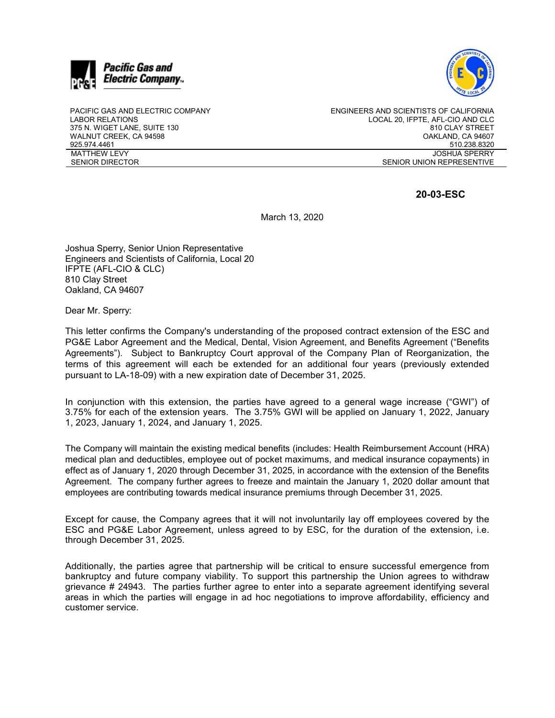



PACIFIC GAS AND ELECTRIC COMPANY LABOR RELATIONS 375 N. WIGET LANE, SUITE 130 WALNUT CREEK, CA 94598 925.974.4461 MATTHEW LEVY SENIOR DIRECTOR

ENGINEERS AND SCIENTISTS OF CALIFORNIA LOCAL 20, IFPTE, AFL-CIO AND CLC 810 CLAY STREET OAKLAND, CA 94607 510.238.8320 JOSHUA SPERRY SENIOR UNION REPRESENTIVE

## **20-03-ESC**

March 13, 2020

Joshua Sperry, Senior Union Representative Engineers and Scientists of California, Local 20 IFPTE (AFL-CIO & CLC) 810 Clay Street Oakland, CA 94607

Dear Mr. Sperry:

This letter confirms the Company's understanding of the proposed contract extension of the ESC and PG&E Labor Agreement and the Medical, Dental, Vision Agreement, and Benefits Agreement ("Benefits Agreements"). Subject to Bankruptcy Court approval of the Company Plan of Reorganization, the terms of this agreement will each be extended for an additional four years (previously extended pursuant to LA-18-09) with a new expiration date of December 31, 2025.

In conjunction with this extension, the parties have agreed to a general wage increase ("GWI") of 3.75% for each of the extension years. The 3.75% GWI will be applied on January 1, 2022, January 1, 2023, January 1, 2024, and January 1, 2025.

The Company will maintain the existing medical benefits (includes: Health Reimbursement Account (HRA) medical plan and deductibles, employee out of pocket maximums, and medical insurance copayments) in effect as of January 1, 2020 through December 31, 2025, in accordance with the extension of the Benefits Agreement. The company further agrees to freeze and maintain the January 1, 2020 dollar amount that employees are contributing towards medical insurance premiums through December 31, 2025.

Except for cause, the Company agrees that it will not involuntarily lay off employees covered by the ESC and PG&E Labor Agreement, unless agreed to by ESC, for the duration of the extension, i.e. through December 31, 2025.

Additionally, the parties agree that partnership will be critical to ensure successful emergence from bankruptcy and future company viability. To support this partnership the Union agrees to withdraw grievance # 24943. The parties further agree to enter into a separate agreement identifying several areas in which the parties will engage in ad hoc negotiations to improve affordability, efficiency and customer service.